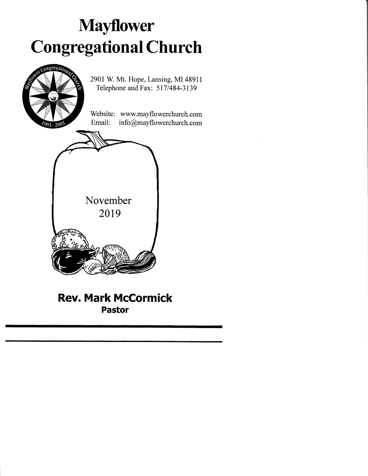# **Mayflower Congregational Church**



**Rev. Mark McCormick Pastor**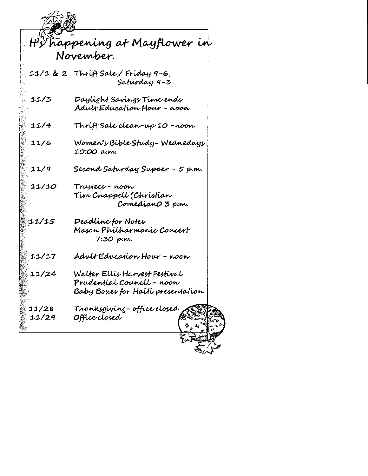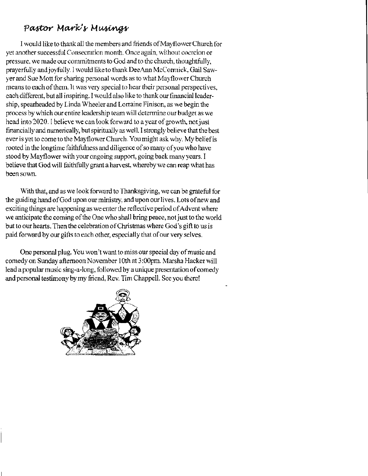#### Pastor Mark's Musings

I would like to thank all the members and friends of Mayflower Church for yet another successful Consecration month. Once again, without coercion or pressure, we made our commitments to God and to the church, thoughtfully, prayerfully and joyfully. I would like to thank DeeAnn McCormick, Gail Sawyer and Sue Mott for sharing personal words as to what Mayflower Church means to each of them. It was very special to hear their personal perspectives, each different, but all inspiring. I would also like to thank our financial leadership, spearheaded by Linda Wheeler and Lorraine Finison, as we begin the process by which our entire leadership team will determine our budget as we head into 2020. I believe we can look forward to a year of growth, not just financially and numerically, but spiritually as well. I strongly believe that the best ever is yet to come to the Mayflower Church. You might ask why, My belief is rooted in the longtime faithfulness and diligence of so many of you who have stood by Mayflower with your ongoing support, going back many years. I believe that God will faithfully grant a harvest, whereby we can reap what has been sown.

With that, and as we look forward to Thanksgiving, we can be grateful for the guiding hand of God upon our ministry, and upon our lives. Lots of new and exciting things are happening as we enter the reflective period of Advent where we anticipate the coming of the One who shall bring peace, not just to the world but to our hearts. Then the celebration of Christmas where God's gift to us is paid forward by our gifts to each other, especially that of our very selves.

One personal plug. You won't want to miss our special day of music and comedy on Sunday afternoon November 10th at 3:00pm. Marsha Hacker will lead a popular music sing-a-long, followed by a unique presentation of comedy and personal testimony by my friend, Rev. Tim Chappell. See you there!

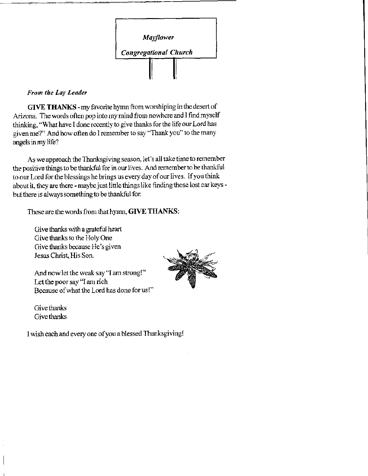

#### **From the Lay Leader**

GIVE THANKS - my favorite hymn from worshiping in the desert of Arizona. The words often pop into my mind from nowhere and I find myself thinking, "What have I done recently to give thanks for the life our Lord has given me?" And how often do I remember to say "Thank you" to the many angels in my life?

As we approach the Thanksgiving season, let's all take time to remember the positive things to be thankful for in our lives. And remember to be thankful to our Lord for the blessings he brings us every day of our lives. If you think about it, they are there - maybe just little things like finding those lost car keys but there is always something to be thankful for.

These are the words from that hymn, GIVE THANKS:

Give thanks with a grateful heart Give thanks to the Holy One Give thanks because He's given Jesus Christ, His Son.

And now let the weak say "I am strong!" Let the poor say "I am rich Because of what the Lord has done for us!"

Give thanks **Give thanks** 

I wish each and every one of you a blessed Thanksgiving!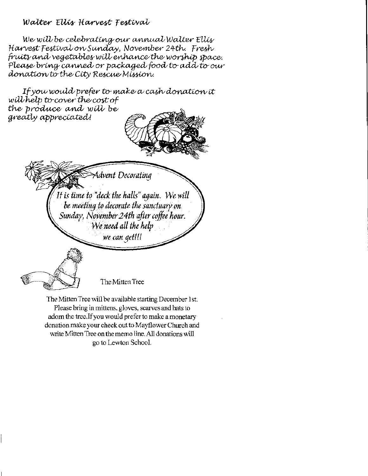Walter Ellis Harvest Festival

We will be celebrating our annual Walter Ellis Harvest Festival on Sunday, November 24th. Fresh fruits and vegetables will enhance the worship space. Please bring canned or packaged food to add to our donation to the City Rescue Mission.



The Mitten Tree will be available starting December 1st. Please bring in mittens, gloves, scarves and hats to adorn the tree. If you would prefer to make a monetary donation make your check out to Mayflower Church and write Mitten Tree on the memo line. All donations will go to Lewton School.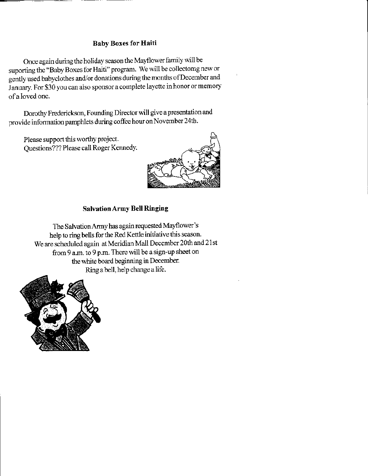#### BabY Boxes for Haiti

Once again during the holiday season the Mayflower family will be suporting the "Baby Boxes for Haiti" program. We will be collectomg new or gcntly used babyclothes and/or donations during the months ofDecember and January. For \$30 you can also sponsor a complete layette in honor or memory of a loved one.

Dorothy Frederickson, Founding Director will give a presentation and provide information pamphlets during coffee hour on November 24th.

Please support this worthy project. Ouestions??? Please call Roger Kennedy.



#### **Salvation Army Bell Ringing**

The SalvationArmy has again requested Mayflower's heip to ring bells for the Red Kettle initiative this season. We are scheduled again at Meridian Mall December 20th and 21st from 9 a.m. to 9 p.m. There will be a sign-up sheet on the white board beginning in December. Ring a bell, help change a life.

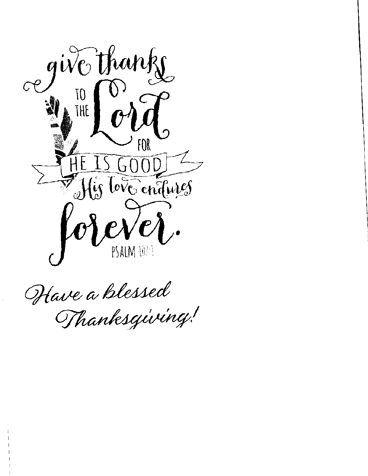

Have a blessed<br>"Thanksgiving!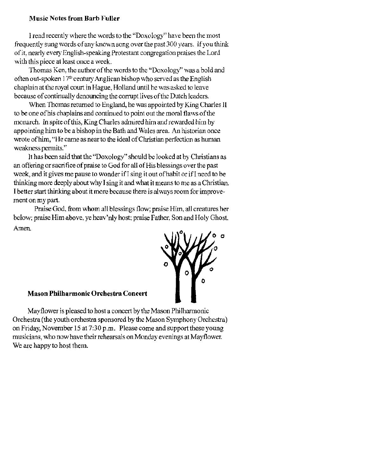#### **Music Notes from Barb Fuller**

I read recently where the words to the "Doxology" have been the most frequently sung words of any known song over the past 300 years. If you think of it, nearly every English-speaking Protestant congregation praises the Lord with this piece at least once a week.

Thomas Ken, the author of the words to the "Doxology" was a bold and often out-spoken  $17<sup>th</sup>$  century Anglican bishop who served as the English chaplain at the royal court in Hague, Holland until he was asked to leave because of continually denouncing the corrupt lives of the Dutch leaders.

When Thomas returned to England, he was appointed by King Charles II to be one of his chaplains and continued to point out the moral flaws of the monarch. In spite of this, King Charles admired him and rewarded him by appointing him to be a bishop in the Bath and Wales area. An historian once wrote of him, "He came as near to the ideal of Christian perfection as human weakness permits."

It has been said that the "Doxology" should be looked at by Christians as an offering or sacrifice of praise to God for all of His blessings over the past week, and it gives me pause to wonder if I sing it out of habit or if I need to be thinking more deeply about why I sing it and what it means to me as a Christian. I better start thinking about it more because there is always room for improvement on my part.

Praise God, from whom all blessings flow; praise Him, all creatures her below; praise Him above, ye heav'nly host; praise Father, Son and Holy Ghost, Amen.



#### **Mason Philharmonic Orchestra Concert**

Mayflower is pleased to host a concert by the Mason Philharmonic Orchestra (the youth orchestra sponsored by the Mason Symphony Orchestra) on Friday, November 15 at 7:30 p.m. Please come and support these young musicians, who now have their rehearsals on Monday evenings at Mayflower. We are happy to host them.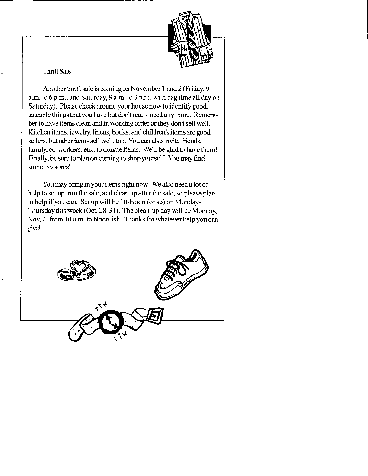

#### Thrift Sale

Another thrift sale is coming on November 1 and 2 (Friday, 9) a.m. to 6 p.m., and Saturday, 9 a.m. to 3 p.m. with bag time all day on Saturday). Please check around your house now to identify good, saleable things that you have but don't really need any more. Remember to have items clean and in working order or they don't sell well. Kitchen items, jewelry, linens, books, and children's items are good sellers. but other items sell well, too. You can also invite friends. family, co-workers, etc., to donate items. We'll be glad to have them! Finally, be sure to plan on coming to shop yourself. You may find some treasures !

You may bring in your items right now. We also need a lot of help to set up, run the sale, and clean up after the sale, so please plan to help if you can. Set up will be 10-Noon (or so) on Monday-Thursday this week (Oct. 28-31). The clean-up day will be Monday, Nov, 4, from 10 a.m, to Noon-ish. Thanks for whatever help you can give!

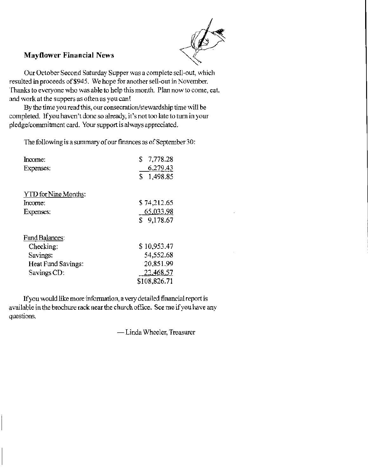

#### **Mayflower Financial News**

Our October Second Saturday Supper was a complete sell-out, which resulted in proceeds of \$945. We hope for another sell-out in November. Thanks to everyone who was able to help this month. Plan now to come, eat, and work at the suppers as often as you can!

By the time you read this, our consecration/stewardship time will be completed. If you haven't done so already, it's not too late to turn in your pledge/commitment card. Your support is always appreciated.

The following is a summary of our finances as of September 30:

| Income:                     | \$<br>7,778.28 |
|-----------------------------|----------------|
| Expenses:                   | 6,279.43       |
|                             | 1,498.85<br>\$ |
| <b>YTD</b> for Nine Months: |                |
| Income:                     | \$74,212.65    |
| Expenses:                   | 65,033.98      |
|                             | \$9,178.67     |
| Fund Balances:              |                |
| Checking:                   | \$10,953.47    |
| Savings:                    | 54,552.68      |
| Heat Fund Savings:          | 20,851.99      |
| Savings CD:                 | 22,468.57      |
|                             | \$108,826.71   |

If you would like more information, a very detailed financial report is available in the brochure rack near the church office. See me if you have any questions.

- Linda Wheeler, Treasurer